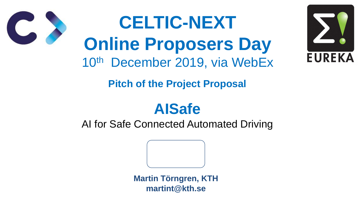**Pitch of the Project Proposal**





**AISafe** AI for Safe Connected Automated Driving



# **CELTIC-NEXT Online Proposers Day** 10th December 2019, via WebEx



#### **Martin Törngren, KTH martint@kth.se**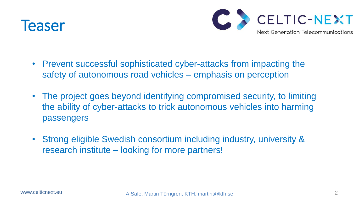# **Teaser**

- Prevent successful sophisticated cyber-attacks from impacting the safety of autonomous road vehicles – emphasis on perception
- The project goes beyond identifying compromised security, to limiting the ability of cyber-attacks to trick autonomous vehicles into harming passengers
- Strong eligible Swedish consortium including industry, university & research institute – looking for more partners!

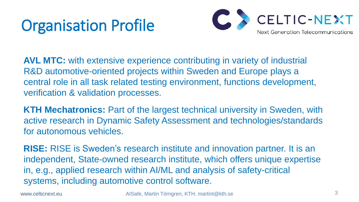# Organisation Profile

3

**AVL MTC:** with extensive experience contributing in variety of industrial R&D automotive-oriented projects within Sweden and Europe plays a central role in all task related testing environment, functions development, verification & validation processes.

**KTH Mechatronics:** Part of the largest technical university in Sweden, with active research in Dynamic Safety Assessment and technologies/standards for autonomous vehicles.

**RISE:** RISE is Sweden's research institute and innovation partner. It is an independent, State-owned research institute, which offers unique expertise in, e.g., applied research within AI/ML and analysis of safety-critical systems, including automotive control software.

www.celticnext.eu AISafe, Martin Törngren, KTH. martint@kth.se

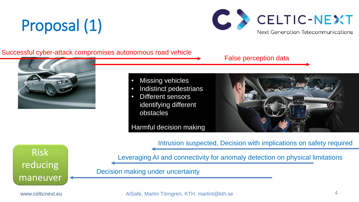# Proposal (1)

#### Successful cyber-attack compromises autonomous road vehicle



#### False perception data



- **Missing vehicles** Indistinct pedestrians • Different sensors identifying different
- 
- obstacles

Harmful decision making





- 
- Intrusion suspected, Decision with implications on safety required
- Leveraging AI and connectivity for anomaly detection on physical limitations
	-

Decision making under uncertainty

Risk reducing maneuver

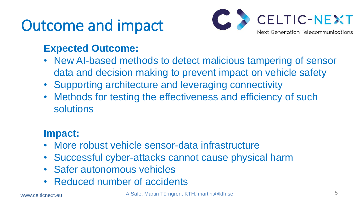# Outcome and impact

# **Expected Outcome:**

- data and decision making to prevent impact on vehicle safety
- New AI-based methods to detect malicious tampering of sensor • Supporting architecture and leveraging connectivity • Methods for testing the effectiveness and efficiency of such
- solutions

### **Impact:**

- More robust vehicle sensor-data infrastructure • Successful cyber-attacks cannot cause physical harm • Safer autonomous vehicles
- 
- 
- Reduced number of accidents



www.celticnext.eu AISafe, Martin Törngren, KTH. martint@kth.se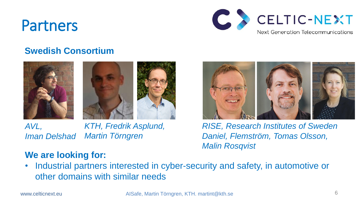



#### **We are looking for:**

• Industrial partners interested in cyber-security and safety, in automotive or

other domains with similar needs







#### **Swedish Consortium**





*AVL, Iman Delshad*

*RISE, Research Institutes of Sweden Daniel, Flemström, Tomas Olsson, Malin Rosqvist*

*KTH, Fredrik Asplund, Martin Törngren*